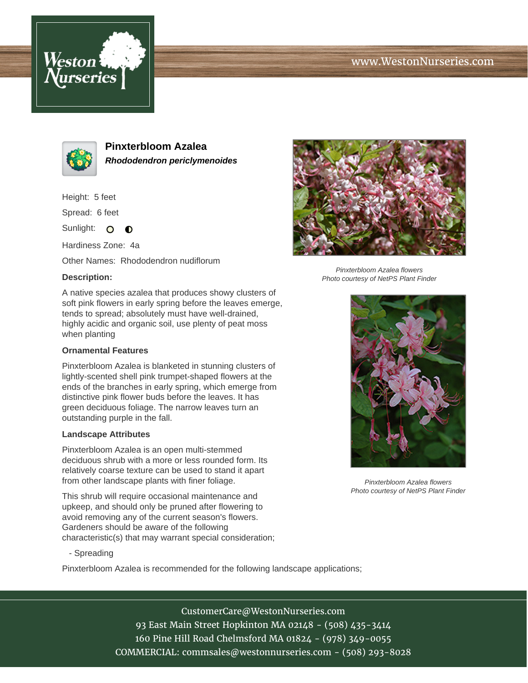# www.WestonNurseries.com





**Pinxterbloom Azalea Rhododendron periclymenoides**

Height: 5 feet

Spread: 6 feet

Sunlight: O **O** 

Hardiness Zone: 4a

Other Names: Rhododendron nudiflorum

#### **Description:**

A native species azalea that produces showy clusters of soft pink flowers in early spring before the leaves emerge, tends to spread; absolutely must have well-drained, highly acidic and organic soil, use plenty of peat moss when planting

### **Ornamental Features**

Pinxterbloom Azalea is blanketed in stunning clusters of lightly-scented shell pink trumpet-shaped flowers at the ends of the branches in early spring, which emerge from distinctive pink flower buds before the leaves. It has green deciduous foliage. The narrow leaves turn an outstanding purple in the fall.

#### **Landscape Attributes**

Pinxterbloom Azalea is an open multi-stemmed deciduous shrub with a more or less rounded form. Its relatively coarse texture can be used to stand it apart from other landscape plants with finer foliage.

This shrub will require occasional maintenance and upkeep, and should only be pruned after flowering to avoid removing any of the current season's flowers. Gardeners should be aware of the following characteristic(s) that may warrant special consideration;

- Spreading

Pinxterbloom Azalea is recommended for the following landscape applications;



Pinxterbloom Azalea flowers Photo courtesy of NetPS Plant Finder



Pinxterbloom Azalea flowers Photo courtesy of NetPS Plant Finder

CustomerCare@WestonNurseries.com 93 East Main Street Hopkinton MA 02148 - (508) 435-3414 160 Pine Hill Road Chelmsford MA 01824 - (978) 349-0055 COMMERCIAL: commsales@westonnurseries.com - (508) 293-8028